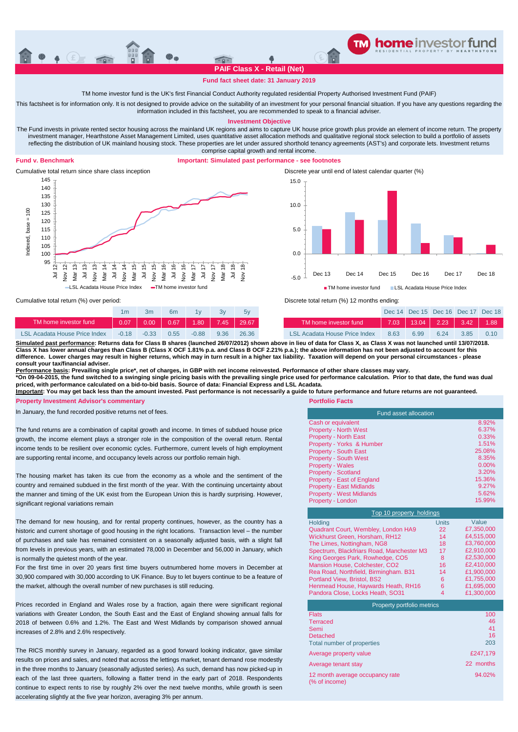

## **Fund fact sheet date: 31 January 2019**

# TM home investor fund is the UK's first Financial Conduct Authority regulated residential Property Authorised Investment Fund (PAIF)

This factsheet is for information only. It is not designed to provide advice on the suitability of an investment for your personal financial situation. If you have any questions regarding the information included in this factsheet, you are recommended to speak to a financial adviser.

**Investment Objective**

The Fund invests in private rented sector housing across the mainland UK regions and aims to capture UK house price growth plus provide an element of income return. The property investment manager, Hearthstone Asset Management Limited, uses quantitative asset allocation methods and qualitative regional stock selection to build a portfolio of assets reflecting the distribution of UK mainland housing stock. These properties are let under assured shorthold tenancy agreements (AST's) and corporate lets. Investment returns comprise capital growth and rental income.

#### **Fund v. Benchmark**

### **Important: Simulated past performance - see footnotes**



Cumulative total return since share class inception Discrete year until end of latest calendar quarter (%) -5.0 0.0 5.0 10.0 15.0 Dec 13 Dec 14 Dec 15 Dec 16 Dec 17 Dec 18 **TM** home investor fund LSL Acadata House Price Index

Cumulative total return (%) over period:

|                                      |         | 3m      | 6 <sub>m</sub> |         |      |                       |                               |      | Dec 14 Dec 15 Dec 16 Dec 17 Dec 1 |      |             |      |
|--------------------------------------|---------|---------|----------------|---------|------|-----------------------|-------------------------------|------|-----------------------------------|------|-------------|------|
| TM home investor fund                | 0.071   | 0.00    | 0.67           |         |      | $1.80$   7.45   29.67 | TM home investor fund         |      | $\mid$ 7.03   13.04   2.23   \    |      | $3.42$ 1.88 |      |
| <b>LSL Acadata House Price Index</b> | $-0.18$ | $-0.33$ | 0.55           | $-0.88$ | 9.36 | 26.36                 | LSL Acadata House Price Index | 8.63 | 6.99                              | 6.24 | 3.85        | 0.10 |



<u>Simulated past performance</u>: Returns data for Class B shares (launched 26/07/2012) shown above in lieu of data for Class X, as Class X was not launched until 13/07/2018.<br>Class X has lower annual charges than Class B (Clas **difference. Lower charges may result in higher returns, which may in turn result in a higher tax liability. Taxation will depend on your personal circumstances - please consult your tax/financial adviser.**

<u>Performance basis</u>: Prevailing single price\*, net of charges, in GBP with net income reinvested. Performance of other share classes may vary.<br>\*On 09-04-2015, the fund switched to a swinging single pricing basis with the p **priced, with performance calculated on a bid-to-bid basis. Source of data: Financial Express and LSL Acadata.**

**Important: You may get back less than the amount invested. Past performance is not necessarily a guide to future performance and future returns are not guaranteed.**

**Property Investment Advisor's commentary <b>Property Investment Advisor's commentary Portfolio Facts** 

In January, the fund recorded positive returns net of fees.

The fund returns are a combination of capital growth and income. In times of subdued house price growth, the income element plays a stronger role in the composition of the overall return. Rental income tends to be resilient over economic cycles. Furthermore, current levels of high employment are supporting rental income, and occupancy levels across our portfolio remain high.

The housing market has taken its cue from the economy as a whole and the sentiment of the country and remained subdued in the first month of the year. With the continuing uncertainty about the manner and timing of the UK exist from the European Union this is hardly surprising. However, significant regional variations remain

The demand for new housing, and for rental property continues, however, as the country has a historic and current shortage of good housing in the right locations. Transaction level – the number of purchases and sale has remained consistent on a seasonally adjusted basis, with a slight fall from levels in previous years, with an estimated 78,000 in December and 56,000 in January, which is normally the quietest month of the year.

For the first time in over 20 years first time buyers outnumbered home movers in December at 30,900 compared with 30,000 according to UK Finance. Buy to let buyers continue to be a feature of the market, although the overall number of new purchases is still reducing.

Prices recorded in England and Wales rose by a fraction, again there were significant regional variations with Greater London, the South East and the East of England showing annual falls for 2018 of between 0.6% and 1.2%. The East and West Midlands by comparison showed annual increases of 2.8% and 2.6% respectively.

The RICS monthly survey in January, regarded as a good forward looking indicator, gave similar results on prices and sales, and noted that across the lettings market, tenant demand rose modestly in the three months to January (seasonally adjusted series). As such, demand has now picked-up in each of the last three quarters, following a flatter trend in the early part of 2018. Respondents continue to expect rents to rise by roughly 2% over the next twelve months, while growth is seen accelerating slightly at the five year horizon, averaging 3% per annum.

| <b>Fund asset allocation</b>    |          |  |  |  |  |
|---------------------------------|----------|--|--|--|--|
| Cash or equivalent              | 8.92%    |  |  |  |  |
| <b>Property - North West</b>    | 6.37%    |  |  |  |  |
| <b>Property - North East</b>    | 0.33%    |  |  |  |  |
| Property - Yorks & Humber       | 1.51%    |  |  |  |  |
| <b>Property - South East</b>    | 25.08%   |  |  |  |  |
| <b>Property - South West</b>    | 8.35%    |  |  |  |  |
| <b>Property - Wales</b>         | $0.00\%$ |  |  |  |  |
| <b>Property - Scotland</b>      | 3.20%    |  |  |  |  |
| Property - East of England      | 15.36%   |  |  |  |  |
| <b>Property - East Midlands</b> | 9.27%    |  |  |  |  |
| <b>Property - West Midlands</b> | 5.62%    |  |  |  |  |
| Property - London               | 15.99%   |  |  |  |  |

| Top 10 property holdings                  |              |            |  |  |  |  |
|-------------------------------------------|--------------|------------|--|--|--|--|
| Holding                                   | <b>Units</b> | Value      |  |  |  |  |
| Quadrant Court, Wembley, London HA9       | 22           | £7,350,000 |  |  |  |  |
| Wickhurst Green, Horsham, RH12            | 14           | £4.515.000 |  |  |  |  |
| The Limes, Nottingham, NG8                | 18           | £3.760.000 |  |  |  |  |
| Spectrum, Blackfriars Road, Manchester M3 | 17           | £2.910.000 |  |  |  |  |
| King Georges Park, Rowhedge, CO5          | 8            | £2.530.000 |  |  |  |  |
| Mansion House, Colchester, CO2            | 16           | £2.410.000 |  |  |  |  |
| Rea Road, Northfield, Birmingham. B31     | 14           | £1.900.000 |  |  |  |  |
| Portland View, Bristol, BS2               | 6            | £1,755,000 |  |  |  |  |
| Henmead House, Haywards Heath, RH16       | 6            | £1,695,000 |  |  |  |  |
| Pandora Close, Locks Heath, SO31          | 4            | £1,300,000 |  |  |  |  |

| Property portfolio metrics                       |           |  |  |  |
|--------------------------------------------------|-----------|--|--|--|
| <b>Flats</b>                                     | 100       |  |  |  |
| <b>Terraced</b>                                  | 46        |  |  |  |
| Semi                                             | 41        |  |  |  |
| Detached                                         | 16        |  |  |  |
| Total number of properties                       | 203       |  |  |  |
| Average property value                           | £247.179  |  |  |  |
| Average tenant stay                              | 22 months |  |  |  |
| 12 month average occupancy rate<br>(% of income) | 94.02%    |  |  |  |